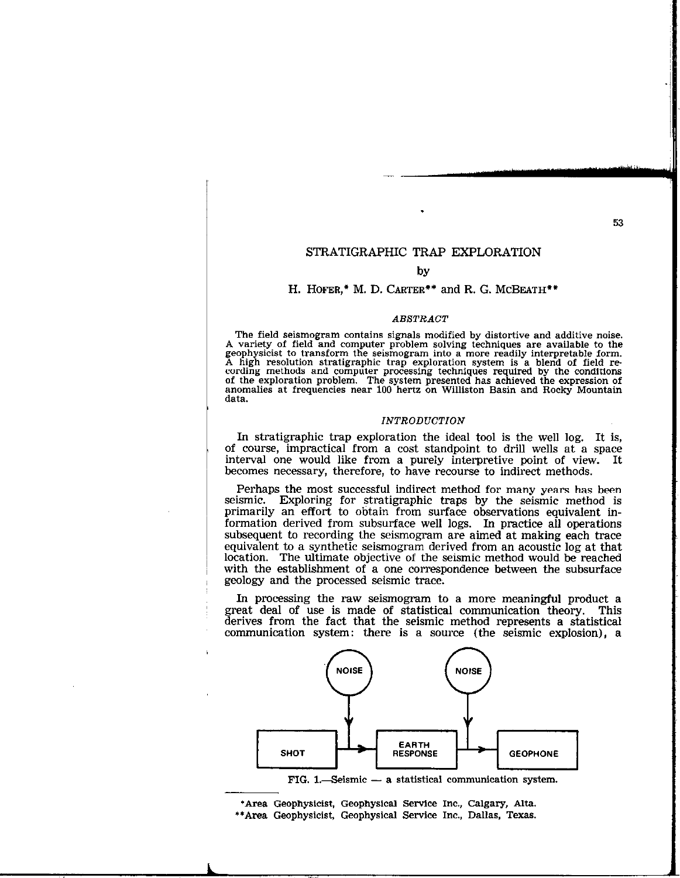53

### STRATIGRAPHIC TRAP EXPLORATION

### by

### H. HOFER,\* M. D. CARTER\*\* and R. G. MCBEATH\*\*

### ABSTRACT

The field seismogram contains signals modified by distortive and additive noise. A variety of field and computer problem solving techniques are available to the geophysicist to transform the seismogram into a more readily interpretable form. A high resolution stratigraphic trap exploration system is a blend of field recording methods and computer processing techniques required by the conditions of the exploration problem. The system presented has achieved the expression of anomalies at frequencies near 100 hertz on Williston Basin and Rocky Mountain data.

### INTRODUCTION

In stratigraphic trap exploration the ideal tool is the well log. It is, of course, impractical from a cost standpoint to drill wells at a space interval one would like from a purely interpretive point of view. It becomes necessary, therefore, to have recourse to indirect methods.

Perhaps the most successful indirect method for many years has been seismic. Exploring for stratigraphic traps by the seismic method is primarily an effort to obtain from surface observations equivalent information derived from subsurface well logs. In practice all operations subsequent to recording the seismogram are aimed at making each trace equivalent to a synthetic seismogram derived from an acoustic log at that location. The ultimate objective of the seismic method would be reached with the establishment of a one correspondence between the subsurface geology and the processed seismic trace.

In processing the raw seismogram to a more meaningful product a great deal of use is made of statistical communication theory. This derives from the fact that the seismic method represents a statistical communication system: there is a source (the seismic explosion), a



'Area Geophysicist, Geophysical Service Inc., Calgary, Alta. \*\* Area Geophysicist, Geophysical Service Inc., Dallas, Texas.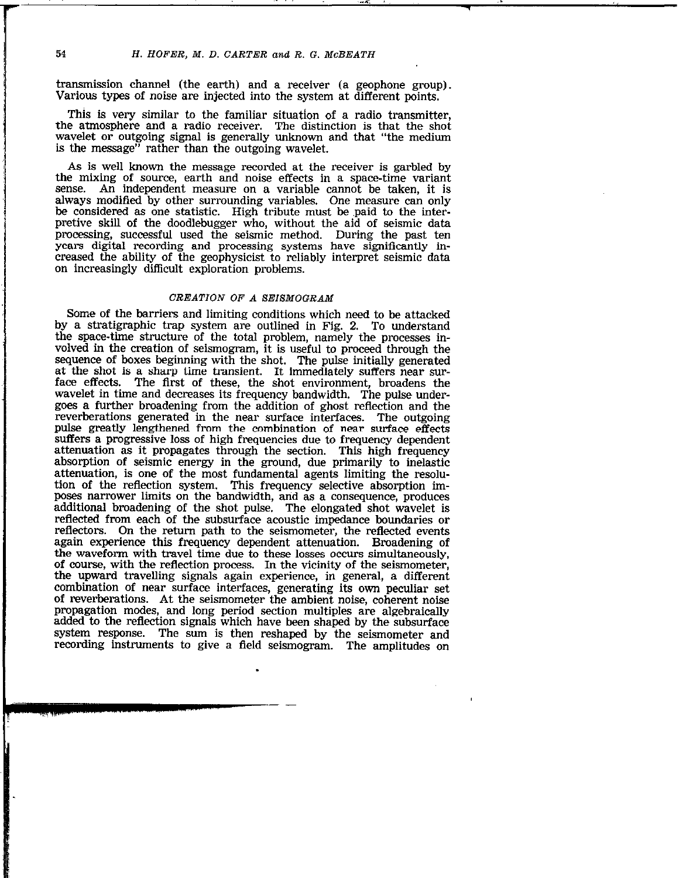,-1. 1 .I ,.

transmission channel (the earth) and a receiver (a geophone group). Various types of noise are injected into the system at different points.

This is very similar to the familiar situation of a radio transmitter, the atmosphere and a radio receiver. The distinction is that the shot wavelet or outgoing signal is generally unknown and that "the medium is the message" rather than the outgoing wavelet.

As is well known the message recorded at the receiver is garbled by the mixing of source, earth and noise effects in a space-time variant sense. An independent measure on a variable cannot be taken, it is always modified by other surrounding variables. One measure can only be considered as one statistic. High tribute must be paid to the interpretive skill of the doodlebugger who, without the aid of seismic data processing, successful used the seismic method. During the past ten years digital recording and processing systems have significantly increased the ability of the geophysicist to reliably interpret seismic data on increasingly difficult exploration problems.

### CREATION OF A SEISMOGRAM

Some of the barriers and limiting conditions which need to be attacked by a stratigraphic trap system are outlined in Fig. 2. To understand the space-time structure of the total problem, namely the processes involved in the creation of seismogram, it is useful to proceed through the sequence of boxes beginning with the shot. The pulse initially generated at the shot is a sharp time transient. It immediately suffers near surface effects. The first of these, the shot environment, broadens the The first of these, the shot environment, broadens the wavelet in time and decreases its frequency bandwidth. The pulse undergoes a further broadening from the addition of ghost reflection and the reverberations generated in the near surface interfaces. The outgoing pulse greatly lengthened from the combination of near surface effects suffers a progressive loss of high frequencies due to frequency dependent attenuation as it propagates through the section. This high frequency absorption of seismic energy in the ground, due primarily to inelastic attenuation, is one of the most fundamental agents limiting the resolution of the reflection system. This frequency selective absorption imposes narrower limits on the bandwidth, and as a consequence, produces additional broadening of the shot pulse. The elongated shot wavelet is reflected from each of the subsurface acoustic impedance boundaries or reflectors. On the return path to the seismometer, the reflected events again experience this frequency dependent attenuation. Broadening of the waveform with travel time due to these losses occurs simultaneously, of course, with the reflection process. In the vicinity of the seismometer, the upward travelling signals again experience, in general, a different combination of near surface interfaces, generating its own peculiar set of reverberations. At the seismometer the ambient noise, coherent noise propagation modes, and long period section multiples are algebraically added to the reflection signals which have been shaped by the subsurface system response. The sum is then reshaped by the seismometer and recording instruments to give a field seismogram. The amplitudes on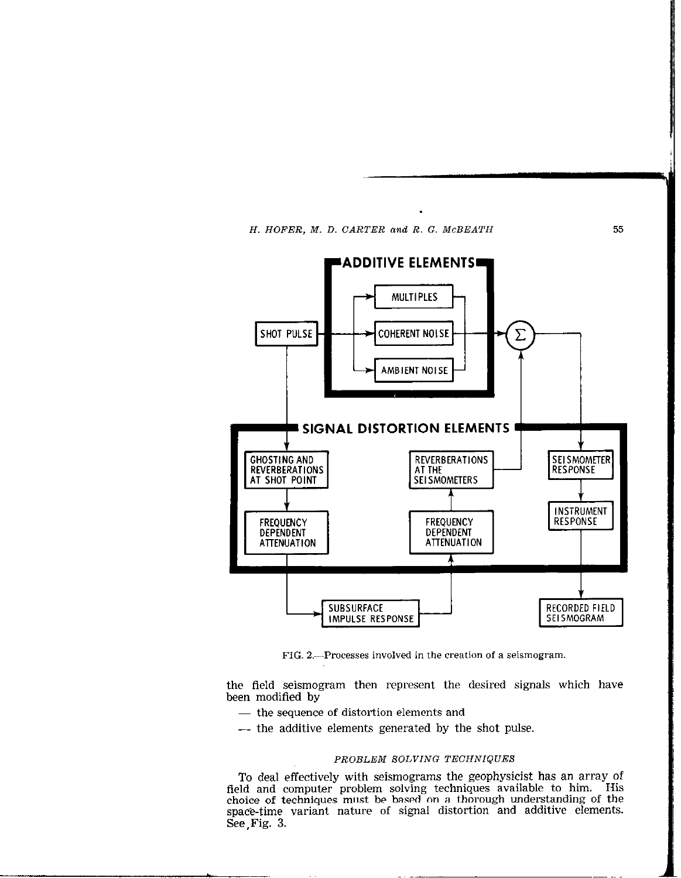



FIG. 2.---Processes involved in the creation of a seismogram.

the field seismogram then represent the desired signals which have been modified by

- the sequence of distortion elements and
- -- the additive elements generated by the shot pulse.

### PROBLEM SOLVING TECHNIQUES

To deal effectively with seismograms the geophysicist has an array of field and computer problem solving techniques available to him. His choice of techniques must be based on a thorough understanding of the space-time variant nature of signal distortion and additive elements. See,Fig. 3.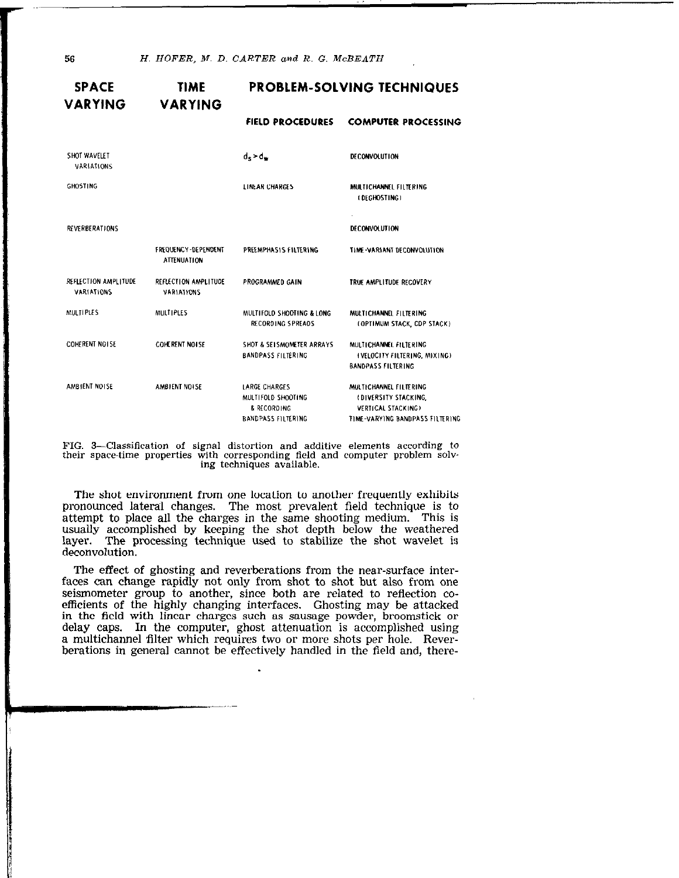56 H. HOFER, M. D. CARTER and R. G. McBEATH

| <b>SPACE</b><br><b>VARYING</b>     | TIME<br><b>VARYING</b>                    | <b>PROBLEM-SOLVING TECHNIQUES</b>                                                      |                                                                                                         |
|------------------------------------|-------------------------------------------|----------------------------------------------------------------------------------------|---------------------------------------------------------------------------------------------------------|
|                                    |                                           | <b>FIELD PROCEDURES</b>                                                                | <b>COMPUTER PROCESSING</b>                                                                              |
| SHOT WAVELET<br>VARIATIONS         |                                           | $d_s$ > $d_w$                                                                          | <b>DECONVOLUTION</b>                                                                                    |
| <b>GHOSTING</b>                    |                                           | LINEAR CHARGES                                                                         | MULTICHANNEL FILTERING<br>(DEGHOSTING)                                                                  |
| <b>REVERBERATIONS</b>              |                                           |                                                                                        | DECONVOLUTION                                                                                           |
|                                    | FREQUENCY-DEPENDENT<br><b>ATTENUATION</b> | PREEMPHASIS FILTERING                                                                  | TIME-VARIANT DECONVOLUTION                                                                              |
| REFLECTION AMPLITUDE<br>VARIATIONS | REFLECTION AMPLITUDE<br>VARIATIONS        | PROGRAMMED GAIN                                                                        | TRUE AMPLITUDE RECOVERY                                                                                 |
| <b>MULTIPLES</b>                   | <b>MULTIPLES</b>                          | MULTIFOLD SHOOTING & LONG<br>RECORDING SPREADS                                         | MULTICHANNEL FILTERING<br>(OPTIMUM STACK, CDP STACK)                                                    |
| COHERENT NOTSE                     | COHERENT NOISE                            | SHOT & SELSMOMETER ARRAYS<br><b>BANDPASS FILTERING</b>                                 | MULTICHANNEL FILTERING<br><b>(VELOCITY FILTERING, MIXING)</b><br><b>BANDPASS FILTERING</b>              |
| AMBIENT NOISE                      | AMBIENT NOISE                             | <b>LARGE CHARGES</b><br>MULTIFOLD SHOOTING<br>& RECORDING<br><b>BANDPASS FILTERING</b> | MULTICHANNEL FILTERING<br>(DIVERSITY STACKING,<br>VERTICAL STACKING)<br>TIME-VARYING BANDPASS FILTERING |

FIG. 3-Classification of signal distortion and additive elements according to their space-time properties with corresponding field and computer problem solv. ing techniques available.

The shot environment from one location to another frequently exhibits pronounced lateral changes. The most prevalent field technique is to attempt to place all the charges in the same shooting medium. This is usually accomplished by keeping the shot depth below the weathered layer. The processing technique used to stabilize the shot wavelet is deconvolution.

The effect of ghosting and reverberations from the near-surface interfaces can change rapidly not only from shot to shot but also from one seismometer group to another, since both are related to reflection coefficients of the highly changing interfaces. Ghosting may be attacked in the field with linear charges such as sausage powder, broomstick or delay caps. In the computer, ghost attenuation is accomplished using a multichannel filter which requires two or more shots per hole. Reverberations in general cannot be effectively handled in the field and, there-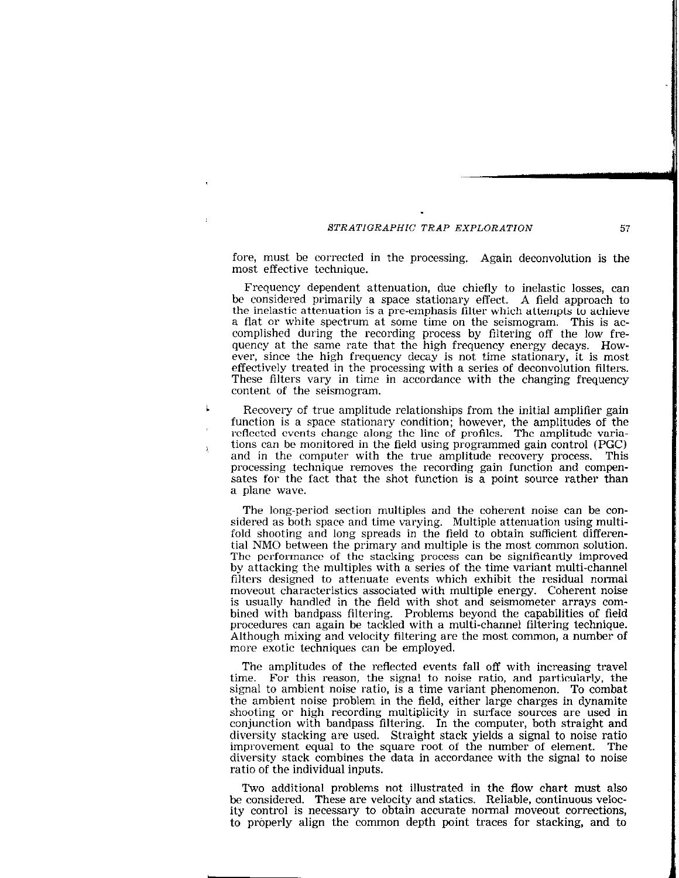fore, must be corrected in the processing. Again deconvolution is the most effective technique.

Frequency dependent attenuation, due chiefly to inelastic losses, can be considered primarily a space stationary effect. A field approach to the inelastic attenuation is a pre-emphasis filter which attempts to achieve a flat or white spectrum at some time on the seismogram, This is accomplished during the recording process by filtering off the low frequency at the same rate that the high frequency energy decays. However, since the high frequency decay is not time stationary, it is most effectively treated in the processing with a series of deconvolution filters. These filters vary in time in accordance with the changing frequency content of the seismogram.

Recovery of true amplitude relationships from the initial amplifier gain function is a space stationary condition; however, the amplitudes of the reflected events change along the line of profiles. The amplitude variations can be monitored in the field using programmed gain control (PGC) and in the computer with the true amplitude recovery process. This processing technique removes the recording gain function and compensates for the fact that the shot function is a point source rather than a plane wave.

Ĵ.

The long-period section multiples and the coherent noise can be considered as both space and time varying. Multiple attenuation using multifold shooting and long spreads in the field to obtain sufficient differential NM0 between the primary and multiple is the most common solution. The performance of the stacking process can be significantly improved by attacking the multiples with a series of the time variant multi-channel filters designed to attenuate events which exhibit the residual normal moveout characteristics associated with multiple energy. Coherent noise is usually handled in the field with shot and seismometer arrays combined with bandpass filtering. Problems beyond the capabilities of field procedures can again be tackled with a multi-channel filtering technique. Although mixing and velocity filtering are the most common, a number of more exotic techniques can be employed.

The amplitudes of the reflected events fall off with increasing travel time. For this reason, the signal to noise ratio, and particularly, the signal to ambient noise ratio, is a time variant phenomenon. To combat the ambient noise problem in the field, either large charges in dynamite shooting or high recording multiplicity in surface sources are used in conjunction with bandpass filtering. In the computer, both straight and diversity stacking are used. Straight stack yields a signal to noise ratio improvement equal to the square root of the number of element. The diversity stack combines the data in accordance with the signal to noise ratio of the individual inputs.

Two additional problems not illustrated in the flow chart must also be considered. These are velocity and statics. Reliable, continuous velocity control is necessary to obtain accurate normal moveout corrections, to properly align the common depth point traces for stacking, and to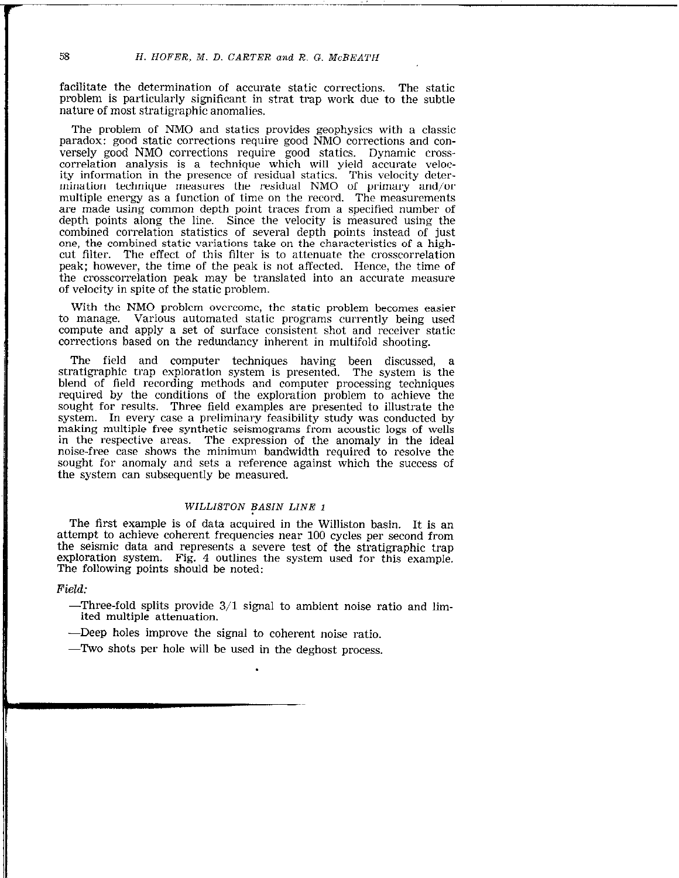facilitate the determination of accurate static corrections. The static problem is particularly significant in strat trap work due to the subtle nature of most stratigraphic anomalies.

The problem of NM0 and statics provides geophysics with a classic paradox: good static corrections require good NM0 corrections and conversely good NM0 corrections require good statics. Dynamic crosscorrelation analysis is a technique which will yield accurate velocity information in the presence of residual statics. This velocity determination technique measures the residual NMO of primary and/or multiple energy as a function of time on the record. The measurements are made using common depth point traces from a specified number of depth points along the line. Since the velocity is nieasured using the combined correlation statistics of several depth points instead of just one, the combined static variations take on the characteristics of a highcut filter. The effect of this filter is to attenuate the crosscorrelation peak; however, the time of the peak is not affected. Hence, the time of the crosscorrelation peak may be translated into an accurate measure of velocity in spite of the static problem.

With the NM0 problem overcome, the static problem becomes easier to manage. Various automated static programs currently being used compute and apply a set of surface consistent shot and receiver static corrections based on the redundancy inherent in multifold shooting.

The field and computer techniques having been discussed, a stratigraphic trap exploration system is presented. The system is the blend of field recording methods and computer processing techniques required by the conditions of the exploration problem to achieve the sought for results. Three field examples are presented to illustrate the system. In every case a preliminary feasibility study was conducted by making multiple free synthetic seismograms from acoustic logs of wells in the respective areas. The expression of the anomaly in the ideal noise-free case shows the minimum bandwidth required to resolve the sought for anomaly and sets a reference against which the success of the system can subsequently be measured.

### WILLISTON BASIN LINE 1

The first example is of data acquired in the Williston basin. It is an attempt to achieve coherent frequencies near 100 cycles per second from the seismic data and represents a severe test of the stratigraphic trap exploration system. Fig. 4 outlines the system used for this example. The following points should be noted:

### Field:

- $-$ Three-fold splits provide  $3/1$  signal to ambient noise ratio and limited multiple attenuation.
- -Deep holes improve the signal to coherent noise ratio.
- -Two shots per hole will be used in the deghost process.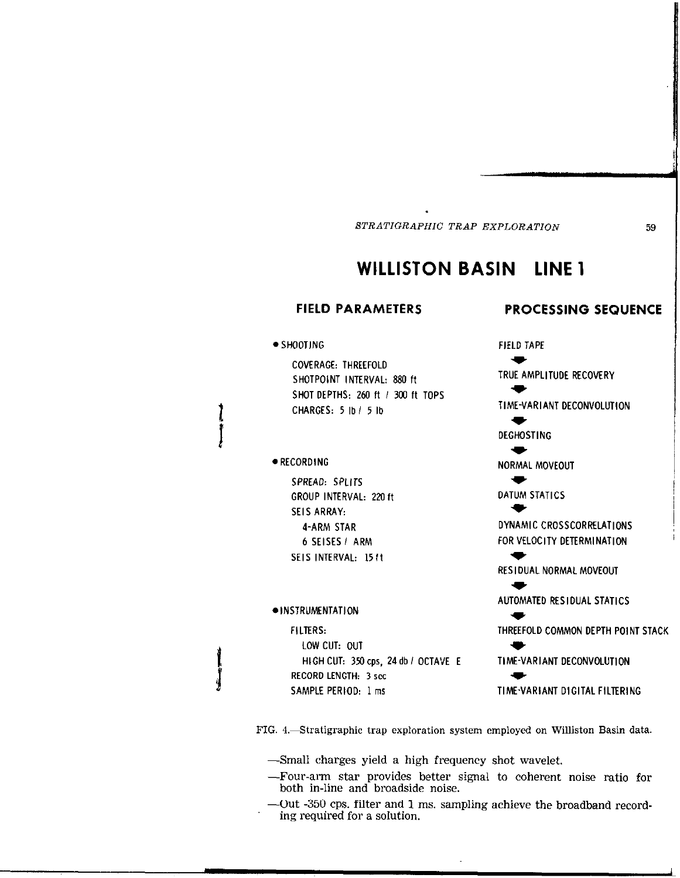## WILLISTON BASIN LINE 1

### FIELD PARAMETERS

### $\bullet$  SHOOTING

COVERAGE: THREEFOLD SHOTPOINT INTERVAL: 880 ft SHOT DEPTHS: 260 ft / 300 ft TOPS CHARGES: 5 lb/ 5 lb

### $\bullet$  RECORDING

SPREAD: SPLITS GROUP INTERVAL: 220 ft SEIS ARRAY: 4-ARM STAR 6 SEISES I ARM SEIS INTERVAL: 1511

### $\bullet$ INSTRUMENTATION

FILTERS: LOW CUT: OUT HIGH CUT: 350 cps. 24 db / OCTAVE E RECORD LENGTH: 3 ret SAMPLE PERIOD: 1 ms

PROCESSING SEQUENCE

w TRUE AMPLITUDE RECOVERY

TIME-VARIANT DECONVOLUTION

t **DEGHOSTING** 

w

w

t

w

FIELD TAPE

w

-w NORMAL MOVEOUT

DATUM STATICS

DYNAMIC CROSSCORRELATIONS FOR VELOCITY DETERMINATION

RESIDUAL NORMAL MOVEOUT

w AUTOMATED RESIDUAL STATICS

w THREEFOLD COMMON DEPTH POINT STACK

TIME-VARIANT DECONVOLIJTION w

TIME-VARIANT DIGITALFILTERING

FIG. 4. Stratigraphic trap exploration system employed on Williston Basin data.

-Small charges yield a high frequency shot wavelet.

- -Four-arm star provides better signal to coherent noise ratio for both in-line and broadside noise.
- -Out -350 cps. filter and 1 ms. sampling achieve the broadband recording required for a solution.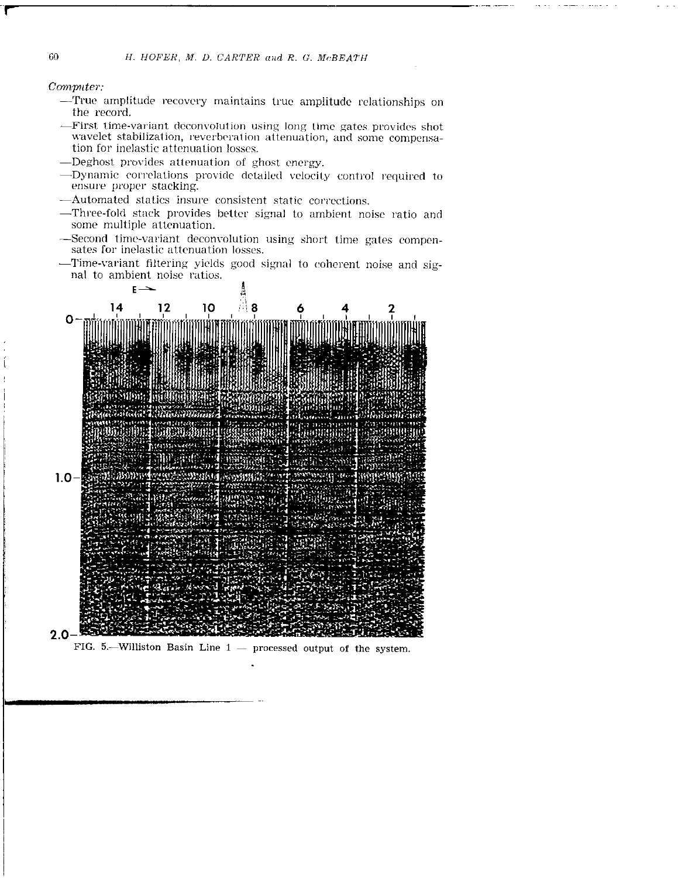### Computer:

- -True amplitude recovery maintains true amplitude relationships on the record.
- -First time-variant deconvolution using long time gates provides shot wavelet stabilization, reverberation attenuation, and some compensation for inelastic attenuation losses.
- -Deghost provides attenuation of ghost energy.
- -Dynamic correlations provide detailed velocity control required to ensure proper stacking.
- -Automated statics insure consistent static corrections.
- -Three-fold stack provides better signal to ambient noise ratio and some multiple attenuation.
- -Second time-variant deconvolution using short time gates compensates for inelastic attenuation losses.
- -Time-variant filtering yields good signal to coherent noise and signal to ambient noise ratios.



FIG. 5.-Williston Basin Line  $1$  - processed output of the system.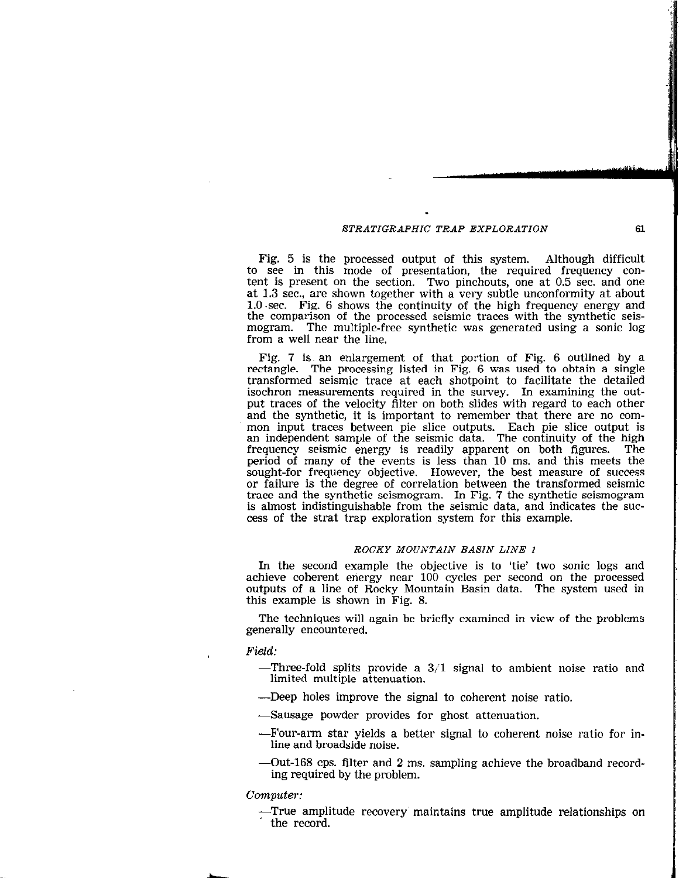I

Fig. 5 is the processed output of this system. Although difficult to see in this mode of presentation, the required frequency content is present on the section. Two pinchouts, one at 0.5 sec. and one at 1.3 sec., are shown together with a very subtle unconformity at about l.O.sec. Fig. 6 shows the continuity of the high frequency energy and the comparison of the processed seismic traces with the synthetic seismogram. The multiple-free synthetic was generated using a sonic log from a well near the line.

Fig. 7 is, an enlargement of that portion of Fig. 6 outlined by a rectangle. The processing listed in Fig. 6 was used to obtain a single transformed seismic trace at each shotpoint to facilitate the detailed isochron measurements required in the survey. In examining the output traces of the velocity filter on both slides with regard to each other and the synthetic, it is important to remember that there are no common input traces between pie slice outputs. Each pie slice output is an independent sample of the seismic data. The continuity of the high frequency seismic energy is readily apparent on both figures. The period of many of the events is less than 10 ms. and this meets the sought-for frequency objective. However, the best measure of success or failure is the degree of correlation between the transformed seismic trace and the synthetic seismogram. In Fig. 7 the synthetic seismogram is almost indistinguishable from the seismic data, and indicates the success of the strat trap exploration system for this example.

### ROCKY MOUNTAIN BASIN LINE I

In the second example the objective is to 'tie' two sonic logs and achieve coherent energy near 100 cycles per second on the processed outputs of a line of Rocky Mountain Basin data. The system used in this example is shown in Fig. 8.

The techniques will again be briefly examined in view of the problems generally encountered.

### Field:

- -Three-fold splits provide a 3/l signal to ambient noise ratio and limited multiple attenuation,
- -Deep holes improve the signal to coherent noise ratio.
- -Sausage powder provides for ghost attenuation.
- -Four-arm star yields a better signal to coherent noise ratio for inline and broadside noise.
- -Out-168 cps. filter and 2 ms. sampling achieve the broadband recording required by the problem.

computer:

-True amplitude recovery' maintains true amplitude relationships on the record.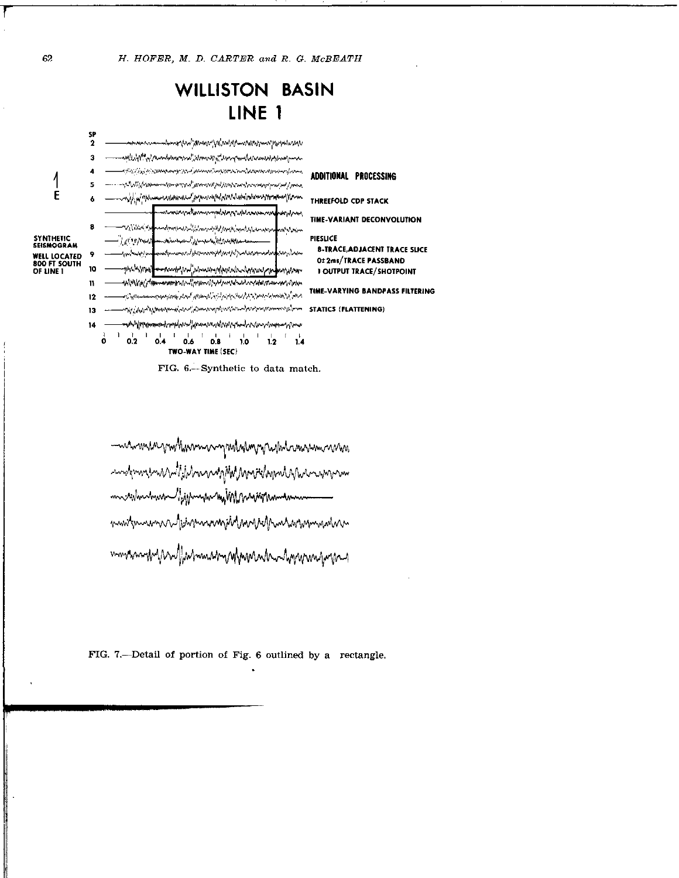## **WILLISTON BASIN** LINE<sub>1</sub>



FIG. 6.-Synthetic to data match.

manmannmhumnnngmhumnnhamnnmnn modemnemMiliJMnanagMMMnridownMMmmmm m sanhanna light man mithhanighman mustpurann Michamannphannahmannmann mmanmfuln Mahmunen nyhannahanhyrana popu

FIG. 7.--Detail of portion of Fig. 6 outlined by a rectangle.

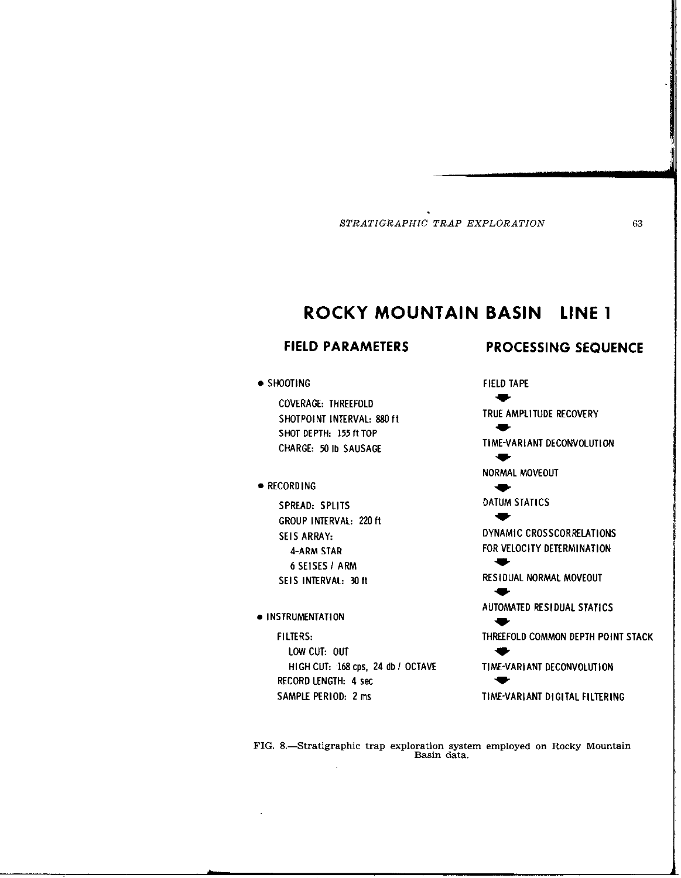## ROCKY MOUNTAIN BASIN LINE 1

FIELD TAPE

### . SHOOTING

COVERAGE: THREEFOLD SHOTPOINT INTERVAL: 880 ft SHOT DEPTH: 155 ft TOP CHARGE: 50 Ib SAUSAGE

### **• RECORDING**

SPREAD: SPLITS GROUP INTERVAL: 220 ft SEIS ARRAY: 4-ARM STAR 6 SEISES I ARM SEIS INTERVAL: 30 ft

### $\bullet$  INSTRUMENTATION

FILTERS: LOW CUT: OUT HIGH CUT: 168 cps, 24 db / OCTAVE RECORD LENGTH: 4 set SAMPLE PERIOD: 2 ms

FIELD PARAMETERS PROCESSING SEQUENCE

9. TRUE AMPLITUDE RECOVERY w TIME-VARIANT DECONVOLUTION  $\bullet$ NORMAL MOVEOUT w DATUM STATICS  $\bullet$ DYNAMIC CROSSCORRELATIONS FOR VELOCITY DETERMINATION w RESIDUAL NORMAL MOVEOUT t AUTOMATED RESIDUAL STATICS  $\blacksquare$ THREEFOLD COMMON DEPTH POINT STACK t

TIME-VARIANT DECONVOLUTION  $\bullet$ 

TIME-VARIANT DIGITAL FILTERING

FIG. 8.-Stratigraphic trap exploration system employed on Rocky Mountain Basin data.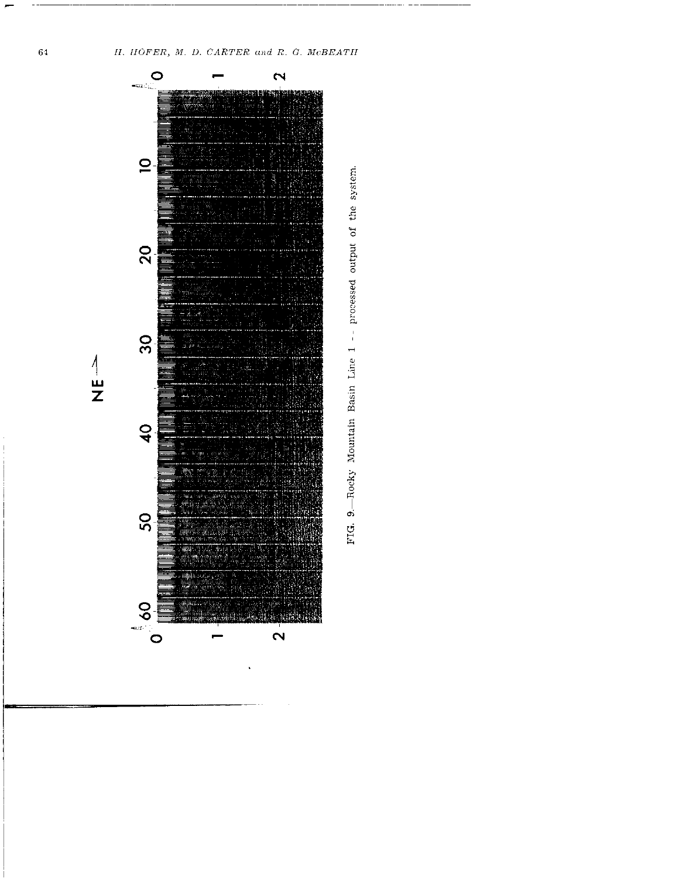H. HOFER, M. D. CARTER and R. G. McBEATH



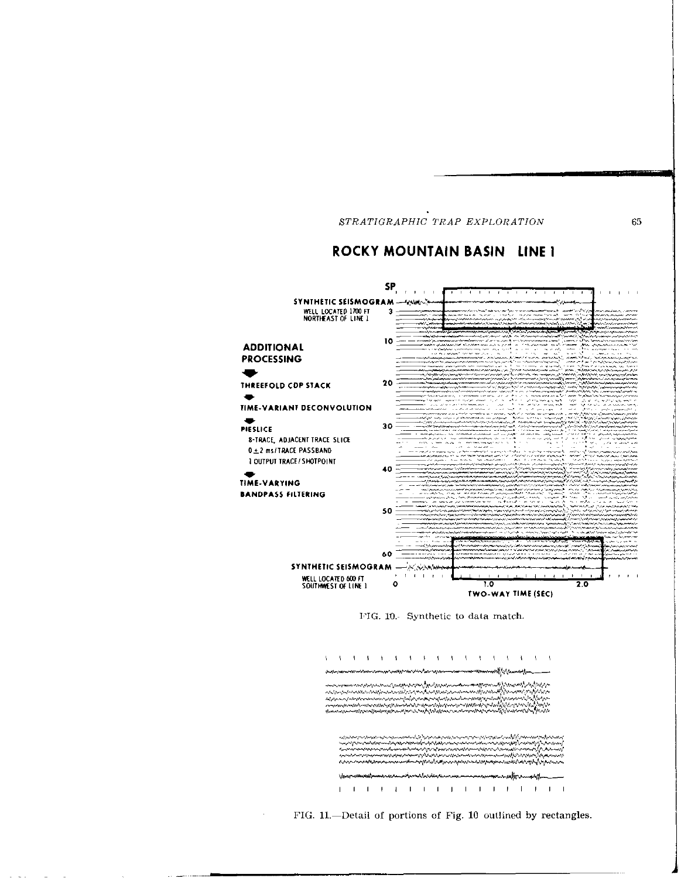### ROCKY MOUNTAIN BASIN LINE I



FIG. 10. Synthetic to data match.



FIG. 11.--Detail of portions of Fig. 10 outlined by rectangles.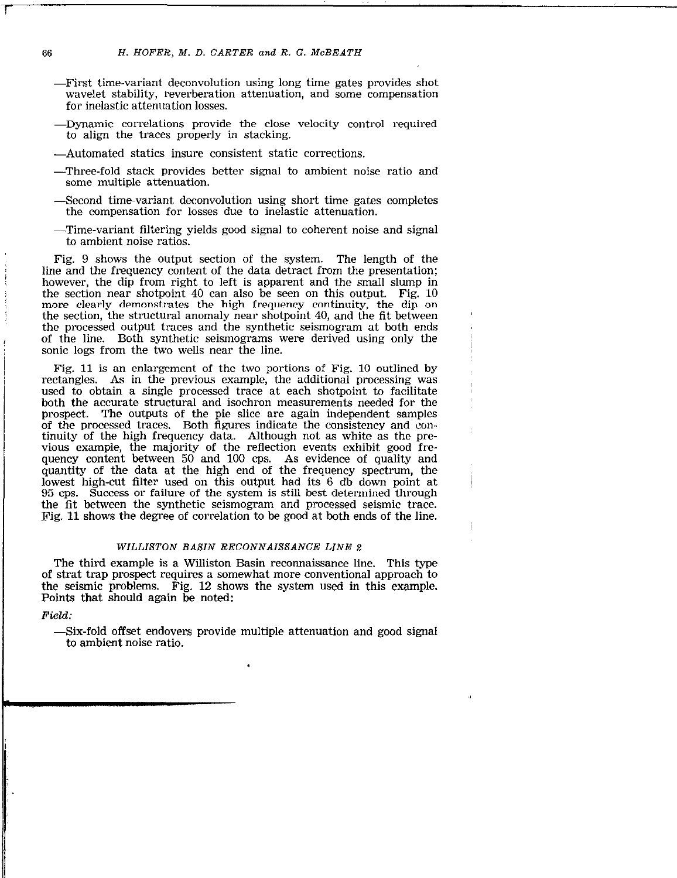- -First time-variant deconvolution using long time gates provides shot wavelet stability, reverberation attenuation, and some compensation for inelastic attenuation losses.
- -Dynamic correlations provide the close velocity control required to align the traces properly in stacking.
- -Automated statics insure consistent static corrections.
- -Three-fold stack provides better signal to ambient noise ratio and some multiple attenuation.
- -Second time-variant deconvolution using short time gates completes the compensation for losses due to inelastic attenuation.
- -Time-variant filtering yields good signal to coherent noise and signal to ambient noise ratios.

Fig. 9 shows the output section of the system. The length of the line and the frequency content of the data detract from the presentation; however, the dip from right to left is apparent and the small slump in the section near shotpoint 40 can also be seen on this output. Fig. 10 more clearly demonstrates the high frequency continuity, the dip on the section, the structural anomaly near shotpoint 40, and the fit between the processed output traces and the synthetic seismogram at both ends of the line. Both synthetic seismograms were derived using only the sonic logs from the two wells near the line.

Fig. 11 is an enlargement of the two portions of Fig. 10 outlined by rectangles. As in the previous example, the additional processing was used to obtain a single processed trace at each shotpoint to facilitate both the accurate structural and isochron measurements needed for the prospect. The outputs of the pie slice are again independent samples of the processed traces. Both figures indicate the consistency and continuity of the high frequency data. Although not as white as the previous example, the majority of the reflection events exhibit good frequency content between 50 and 100 cps. As evidence of quality and quantity of the data at the high end of the frequency spectrum, the lowest high-cut filter used on this output had its 6 db down point at 95 cps. Success or failure of the system is still best determined through the fit between the synthetic seismogram and processed seismic trace. Fig. 11 shows the degree of correlation to be good at both ends of the line.

### WILLISTON BASIN RECONNAISSANCE LINE 2

The third example is a Williston Basin reconnaissance line. This type of strat trap prospect requires a somewhat more conventional approach to the seismic problems. Fig. 12 shows the system used in this example. Points that should again be noted:

Field:

-Six-fold offset endovers provide multiple attenuation and good signal to ambient noise ratio.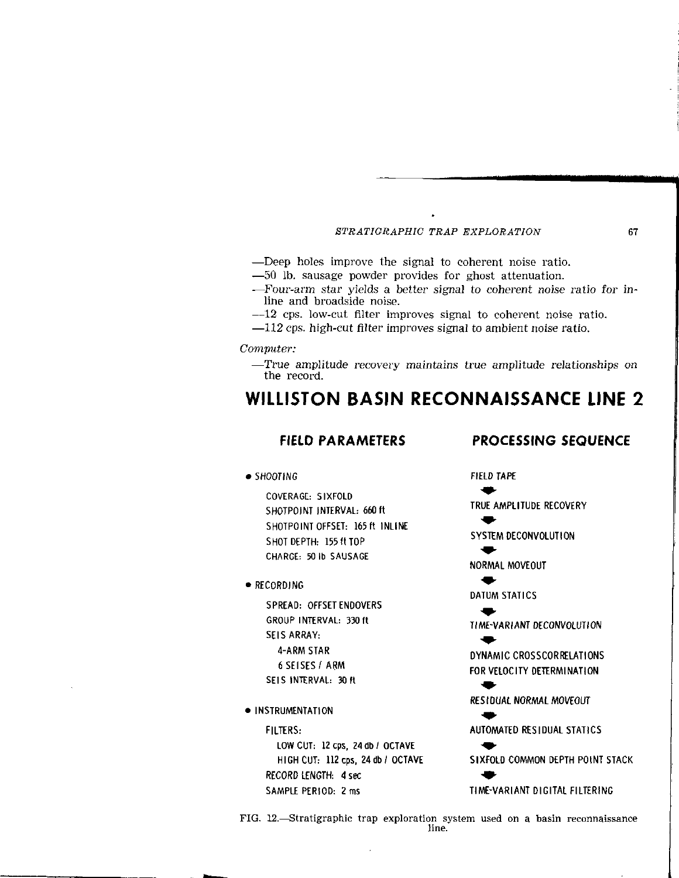- -Deep holes improve the signal to coherent noise ratio.
- -50 lb. sausage powder provides for ghost attenuation.
- -Four-arm star yields a better signal to coherent noise ratio for inline and broadside noise.
- -12 cps. low-cut filter improves signal to coherent noise ratio.
- $-112$  cps. high-cut filter improves signal to ambient noise ratio.

Computer:

-True amplitude recovery maintains true amplitude relationships on the record.

## WILLISTON BASIN RECONNAISSANCE LINE 2

### FIELD PARAMETERS PROCESSING SEQUENCE

COVERAGE: SIXFOLD SHOTPOINT INTERVAL: 660 ft SHOTPOINT OFFSET: 165 ft INLINE SHOT DEPTH: 155 ft TOP CHARGE: 50 lb SAUSAGE

● RECORDING

SPREAD: OFFSET ENDOVERS GROUP INTERVAL: 33Oft SEIS ARRAY: 4-ARM STAR 6 SEISES / ARM SEIS INTERVAL: 30 ft

 $\bullet$  INSTRUMENTATION

LOW CUT:  $12 \text{cps}$ ,  $24 \text{ db} / 0 \text{CTAVE}$ RECORD LENGTH: 4 set \* SAMPLE PERIOD: 2 ms TIME-VARIANT DIGITAL FILTERING

. SHOOTING FIELD TAPE \* TRUE AMPLITUDE RECOVERY  $\overline{\phantom{a}}$ SYSTEM DECONVOLUTION  $\overline{\phantom{a}}$ NORMAL MOVEOUT  $\ddot{}$ DATUM STATICS t TIME-VARIANT DECONVOLUTION  $\overline{\phantom{a}}$ DYNAMIC CROSSCORRELATIONS FORVELOCITY DETERMINATION  $\blacklozenge$ REStDUAL NORMAL MOVEOUT  $\overline{\phantom{a}}$ FILTERS: AUTOMATED RESIDUAL STATICS HIGH CUT: 112 cps, 24 db / OCTAVE SIXFOLD COMMON DEPTH POINT STACK

FIG. 12.-Stratigraphic trap exploration system used on a basin reconnaissance line.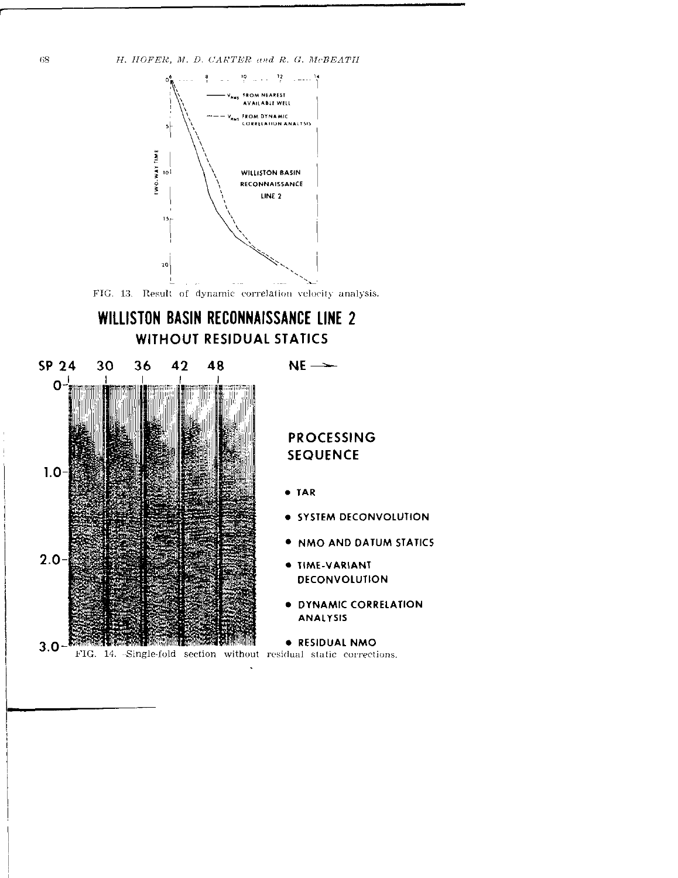



FIG. 13. Result of dynamic correlation velocity analysis.

## WILLISTON BASIN RECONNAISSANCE LINE 2 **WITHOUT RESIDUAL STATICS**



## **PROCESSING SEQUENCE**

 $NE$   $\rightarrow$ 

- · TAR
- · SYSTEM DECONVOLUTION
- . NMO AND DATUM STATICS
- · TIME-VARIANT **DECONVOLUTION**
- · DYNAMIC CORRELATION **ANALYSIS**

**. RESIDUAL NMO** 

FIG. 14. -Single-fold section without residual static corrections.

68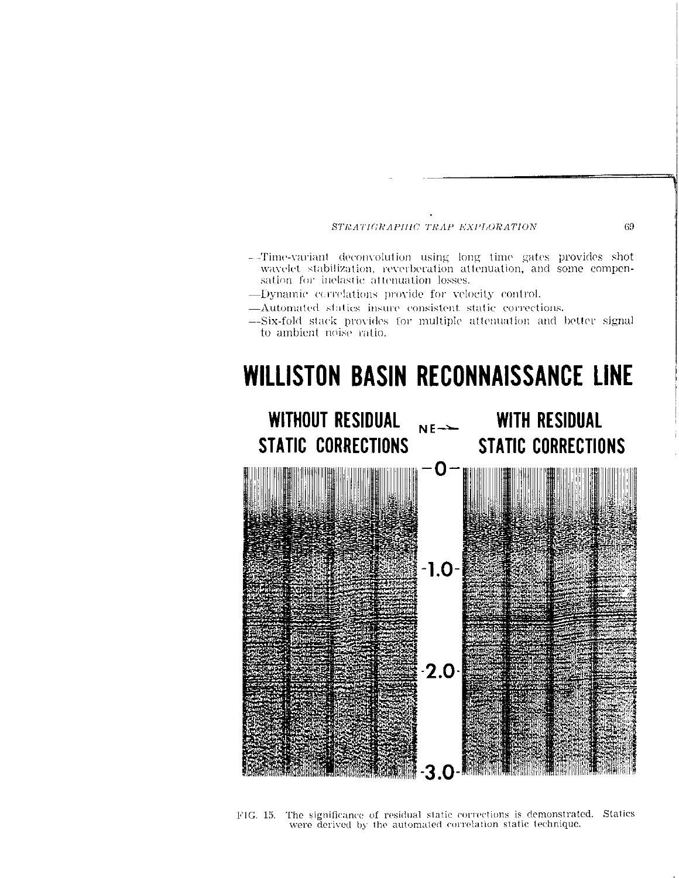- --Time-variant deconvolution using long time gates provides shot wavelet stabilization, reverberation attenuation, and some compensation for inelastic attenuation losses.
- -Dynamic correlations provide for velocity control.
- -Automated statics insure consistent static corrections.
- -Six-fold stack provides for multiple attenuation and better signal to ambient noise ratio.

# WILLISTON BASIN RECONNAISSANCE LINE



FIG. 15. The significance of residual static corrections is demonstrated. Statics were derived by the automated correlation static technique.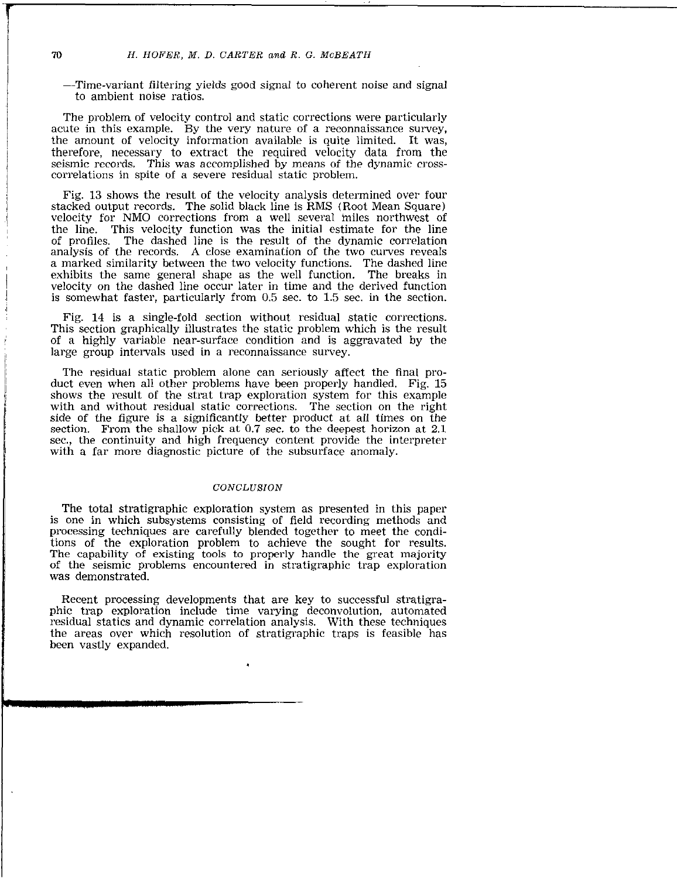-Time-variant filtering yields good signal to coherent noise and signal to ambient noise ratios.

The problem of velocity control and static corrections were particularly acute in this example. By the very nature of a reconnaissance survey, the amount of velocity information available is quite limited. It was, therefore, necessary to extract the required velocity data from the seismic records. This was accomplished by means of the dynamic crosscorrelations in spite of a severe residual static problem.

Fig. 13 shows the result of the velocity analysis determined over four stacked output records. The solid black line is RMS (Root Mean Square) velocity for NM0 corrections from a well several miles northwest of the line. This velocity function was the initial estimate for the line of profiles. The dashed line is the result of the dynamic correlation analysis of the records. A close examination of the two curves reveals a marked similarity between the two velocity functions. The dashed line exhibits the same general shape as the well function. The breaks in velocity on the dashed line occur later in time and the derived function is somewhat faster, particularly from 0.5 sec. to 1.5 sec. in the section.

Fig. 14 is a single-fold section without residual static corrections. This section graphically illustrates the static problem which is the result of a highly variable near-surface condition and is aggravated by the large group intervals used in a reconnaissance survey.

The residual static problem alone can seriously affect the final product even when all other problems have been properly handled. Fig. 15 shows the result of the strat trap exploration system for this example with and without residual static corrections. The section on the right side of the figure is a significantly better product at all times on the section. From the shallow pick at 0.7 sec. to the deepest horizon at 2.1 sec., the continuity and high frequency content provide the interpreter with a far more diagnostic picture of the subsurface anomaly.

### **CONCLUSION**

The total stratigraphic exploration system as presented in this paper is one in which subsystems consisting of field recording methods and processing techniques are carefully blended together to meet the conditions of the exploration problem to achieve the sought for results. The capability of existing tools to properly handle the great majority of the seismic problems encountered in stratigraphic trap exploration was demonstrated.

Recent processing developments that are key to successful stratigraphic trap exploration include time varying deconvolution, automated residual statics and dynamic correlation analysis. With these techniques the areas over which resolution of stratigraphic traps is feasible has been vastly expanded.